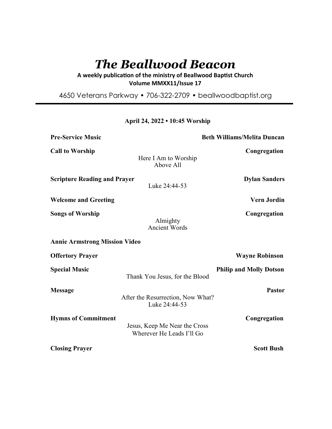# *The Beallwood Beacon*

A weekly publication of the ministry of Beallwood Baptist Church **Volume MMXX11/Issue 17** 

4650 Veterans Parkway • 706-322-2709 • beallwoodbaptist.org

# **April 24, 2022 • 10:45 Worship**

| <b>Pre-Service Music</b>             |                                                            | <b>Beth Williams/Melita Duncan</b> |
|--------------------------------------|------------------------------------------------------------|------------------------------------|
| <b>Call to Worship</b>               | Here I Am to Worship<br>Above All                          | Congregation                       |
| <b>Scripture Reading and Prayer</b>  | Luke 24:44-53                                              | <b>Dylan Sanders</b>               |
| <b>Welcome and Greeting</b>          |                                                            | <b>Vern Jordin</b>                 |
| <b>Songs of Worship</b>              | Almighty<br><b>Ancient Words</b>                           | Congregation                       |
| <b>Annie Armstrong Mission Video</b> |                                                            |                                    |
| <b>Offertory Prayer</b>              |                                                            | <b>Wayne Robinson</b>              |
| <b>Special Music</b>                 | Thank You Jesus, for the Blood                             | <b>Philip and Molly Dotson</b>     |
| <b>Message</b>                       | After the Resurrection, Now What?<br>Luke 24:44-53         | <b>Pastor</b>                      |
| <b>Hymns of Commitment</b>           | Jesus, Keep Me Near the Cross<br>Wherever He Leads I'll Go | Congregation                       |
| <b>Closing Prayer</b>                |                                                            | <b>Scott Bush</b>                  |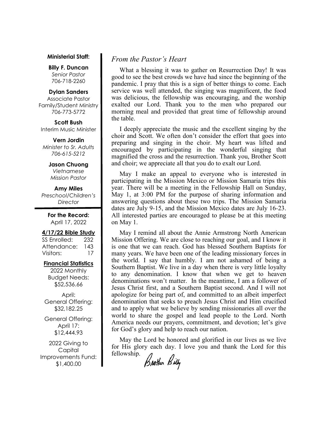#### **Ministerial Staff:**

**Billy F. Duncan** *Senior Pastor*  706-718-2260

#### **Dylan Sanders**

Associate Pastor Family/Student Ministry 706-773-5772

**Scott Bush**  Interim Music Minister

#### **Vern Jordin**

*Minister to Sr. Adults 706-615-5212* 

# **Jason Chuong**

*Vietnamese Mission Pastor* 

# **Amy Miles**

*Preschool/Children's Director* 

> **For the Record:**  April 17, 2022

### **4/17/22 Bible Study**

SS Enrolled: 232 Attendance: 143 Visitors: 17

## **Financial Statistics**

2022 Monthly Budget Needs: \$52,536.66

April: General Offering: \$32,182.25

General Offering: April 17: \$12,444.93

2022 Giving to Capital Improvements Fund: \$1,400.00

# *From the Pastor's Heart*

 What a blessing it was to gather on Resurrection Day! It was good to see the best crowds we have had since the beginning of the pandemic. I pray that this is a sign of better things to come. Each service was well attended, the singing was magnificent, the food was delicious, the fellowship was encouraging, and the worship exalted our Lord. Thank you to the men who prepared our morning meal and provided that great time of fellowship around the table.

 I deeply appreciate the music and the excellent singing by the choir and Scott. We often don't consider the effort that goes into preparing and singing in the choir. My heart was lifted and encouraged by participating in the wonderful singing that magnified the cross and the resurrection. Thank you, Brother Scott and choir; we appreciate all that you do to exalt our Lord.

 May I make an appeal to everyone who is interested in participating in the Mission Mexico or Mission Samaria trips this year. There will be a meeting in the Fellowship Hall on Sunday, May 1, at 3:00 PM for the purpose of sharing information and answering questions about these two trips. The Mission Samaria dates are July 9-15, and the Mission Mexico dates are July 16-23. All interested parties are encouraged to please be at this meeting on May 1.

 May I remind all about the Annie Armstrong North American Mission Offering. We are close to reaching our goal, and I know it is one that we can reach. God has blessed Southern Baptists for many years. We have been one of the leading missionary forces in the world. I say that humbly. I am not ashamed of being a Southern Baptist. We live in a day when there is very little loyalty to any denomination. I know that when we get to heaven denominations won't matter. In the meantime, I am a follower of Jesus Christ first, and a Southern Baptist second. And I will not apologize for being part of, and committed to an albeit imperfect denomination that seeks to preach Jesus Christ and Him crucified and to apply what we believe by sending missionaries all over the world to share the gospel and lead people to the Lord. North America needs our prayers, commitment, and devotion; let's give for God's glory and help to reach our nation.

 May the Lord be honored and glorified in our lives as we live for His glory each day. I love you and thank the Lord for this fellowship.

Brother Billy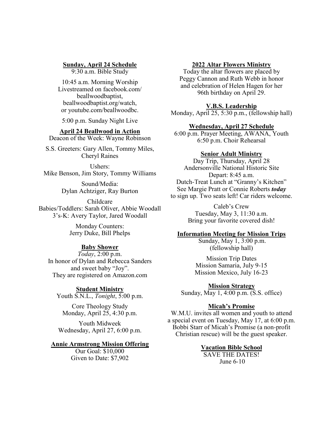# **Sunday, April 24 Schedule**

9:30 a.m. Bible Study

10:45 a.m. Morning Worship Livestreamed on facebook.com/ beallwoodbaptist, beallwoodbaptist.org/watch, or youtube.com/beallwoodbc.

5:00 p.m. Sunday Night Live

# **April 24 Beallwood in Action**

Deacon of the Week: Wayne Robinson

S.S. Greeters: Gary Allen, Tommy Miles, Cheryl Raines

Ushers: Mike Benson, Jim Story, Tommy Williams

> Sound/Media: Dylan Achtziger, Ray Burton

Childcare Babies/Toddlers: Sarah Oliver, Abbie Woodall 3's-K: Avery Taylor, Jared Woodall

> Monday Counters: Jerry Duke, Bill Phelps

# **Baby Shower**

*Today*, 2:00 p.m. In honor of Dylan and Rebecca Sanders and sweet baby "Joy". They are registered on Amazon.com

**Student Ministry** Youth S.N.L., *Tonight*, 5:00 p.m.

Core Theology Study Monday, April 25, 4:30 p.m.

Youth Midweek Wednesday, April 27, 6:00 p.m.

## **Annie Armstrong Mission Offering**

Our Goal: \$10,000 Given to Date: \$7,902

## **2022 Altar Flowers Ministry**

Today the altar flowers are placed by Peggy Cannon and Ruth Webb in honor and celebration of Helen Hagen for her 96th birthday on April 29.

## **V.B.S. Leadership**

Monday, April 25, 5:30 p.m., (fellowship hall)

#### **Wednesday, April 27 Schedule**

6:00 p.m. Prayer Meeting, AWANA, Youth 6:50 p.m. Choir Rehearsal

#### **Senior Adult Ministry**

Day Trip, Thursday, April 28 Andersonville National Historic Site Depart: 8:45 a.m. Dutch-Treat Lunch at "Granny's Kitchen" See Margie Pratt or Connie Roberts *today*  to sign up. Two seats left! Car riders welcome.

> Caleb's Crew Tuesday, May 3, 11:30 a.m. Bring your favorite covered dish!

# **Information Meeting for Mission Trips**

 Sunday, May 1, 3:00 p.m. (fellowship hall)

Mission Trip Dates Mission Samaria, July 9-15 Mission Mexico, July 16-23

**Mission Strategy** Sunday, May 1, 4:00 p.m. (S.S. office)

### **Micah's Promise**

W.M.U. invites all women and youth to attend a special event on Tuesday, May 17, at 6:00 p.m. Bobbi Starr of Micah's Promise (a non-profit Christian rescue) will be the guest speaker.

### **Vacation Bible School**

SAVE THE DATES! June 6-10